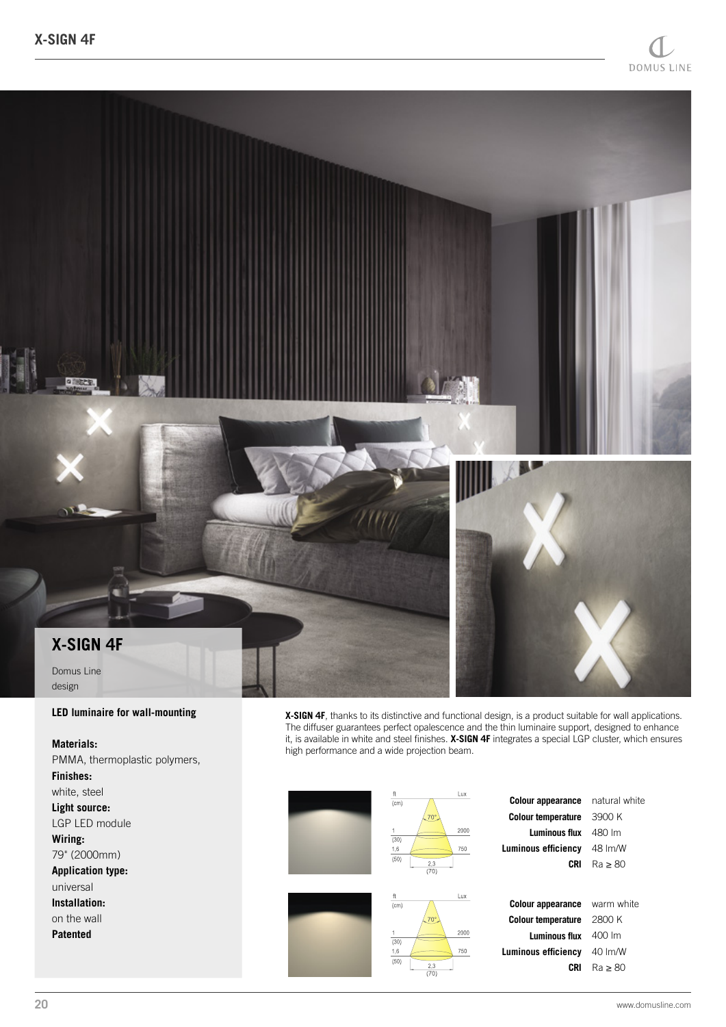

## **LED luminaire for wall-mounting**

## **Materials:**

PMMA, thermoplastic polymers, **Finishes:** white, steel **Light source:** LGP LED module **Wiring:** 79" (2000mm) **Application type:** universal **Installation:** on the wall **Patented**

**X-SIGN 4F**, thanks to its distinctive and functional design, is a product suitable for wall applications. The diffuser guarantees perfect opalescence and the thin luminaire support, designed to enhance it, is available in white and steel finishes. **X-SIGN 4F** integrates a special LGP cluster, which ensures high performance and a wide projection beam.

| ft<br>(cm)<br>(30)<br>1,6<br>(50) | Lux<br>70°.<br>2000<br>750<br>2.3<br>(70) | <b>Colour appearance</b><br><b>Colour temperature</b><br><b>Luminous flux</b><br>Luminous efficiency<br>CRI | natural white<br>3900 K<br>480 lm<br>48 Im/W<br>$Ra \geq 80$ |
|-----------------------------------|-------------------------------------------|-------------------------------------------------------------------------------------------------------------|--------------------------------------------------------------|
| ft<br>(cm)                        | Lux                                       | <b>Colour appearance</b>                                                                                    | warm white                                                   |
|                                   | $70^\circ$                                | <b>Colour temperature</b>                                                                                   | 2800 K                                                       |
| (30)                              | 2000                                      | <b>Luminous flux</b>                                                                                        | 400 lm                                                       |
| 1,6                               | 750                                       | Luminous efficiency                                                                                         | 40 lm/W                                                      |
| (50)                              | 2.3<br>(70)                               | CRI                                                                                                         | $Ra \geq 80$                                                 |